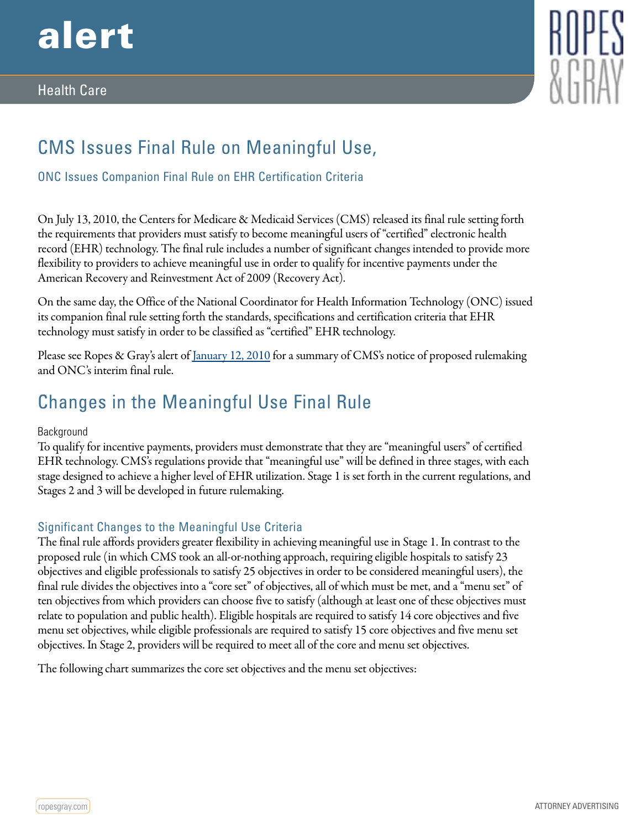

### Health Care



# CMS Issues Final Rule on Meaningful Use,

ONC Issues Companion Final Rule on EHR Certification Criteria

On July 13, 2010, the Centers for Medicare & Medicaid Services (CMS) released its final rule setting forth the requirements that providers must satisfy to become meaningful users of "certified" electronic health record (EHR) technology. The final rule includes a number of significant changes intended to provide more flexibility to providers to achieve meaningful use in order to qualify for incentive payments under the American Recovery and Reinvestment Act of 2009 (Recovery Act).

On the same day, the Office of the National Coordinator for Health Information Technology (ONC) issued its companion final rule setting forth the standards, specifications and certification criteria that EHR technology must satisfy in order to be classified as "certified" EHR technology.

Please see Ropes & Gray's alert of [January 12, 2010](http://www.ropesgray.com/ehrfunctionality/?PublicationTypes=0c16874b-f94e-4696-b607-de259b87a13f) for a summary of CMS's notice of proposed rulemaking and ONC's interim final rule.

## Changes in the Meaningful Use Final Rule

#### Background

To qualify for incentive payments, providers must demonstrate that they are "meaningful users" of certified EHR technology. CMS's regulations provide that "meaningful use" will be defined in three stages, with each stage designed to achieve a higher level of EHR utilization. Stage 1 is set forth in the current regulations, and Stages 2 and 3 will be developed in future rulemaking.

#### Significant Changes to the Meaningful Use Criteria

The final rule affords providers greater flexibility in achieving meaningful use in Stage 1. In contrast to the proposed rule (in which CMS took an all-or-nothing approach, requiring eligible hospitals to satisfy 23 objectives and eligible professionals to satisfy 25 objectives in order to be considered meaningful users), the final rule divides the objectives into a "core set" of objectives, all of which must be met, and a "menu set" of ten objectives from which providers can choose five to satisfy (although at least one of these objectives must relate to population and public health). Eligible hospitals are required to satisfy 14 core objectives and five menu set objectives, while eligible professionals are required to satisfy 15 core objectives and five menu set objectives. In Stage 2, providers will be required to meet all of the core and menu set objectives.

The following chart summarizes the core set objectives and the menu set objectives: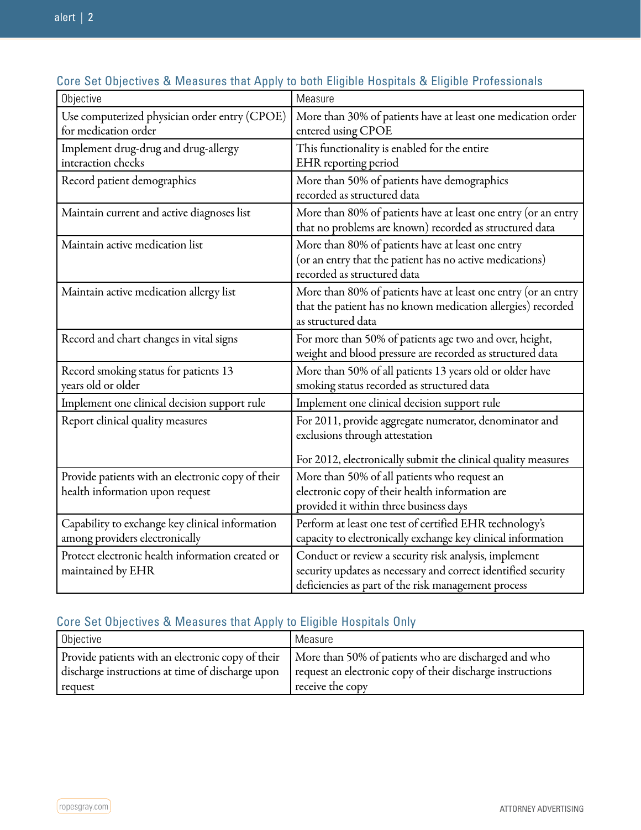| Objective                                         | Measure                                                        |
|---------------------------------------------------|----------------------------------------------------------------|
| Use computerized physician order entry (CPOE)     | More than 30% of patients have at least one medication order   |
| for medication order                              | entered using CPOE                                             |
| Implement drug-drug and drug-allergy              | This functionality is enabled for the entire                   |
| interaction checks                                | EHR reporting period                                           |
| Record patient demographics                       | More than 50% of patients have demographics                    |
|                                                   | recorded as structured data                                    |
| Maintain current and active diagnoses list        | More than 80% of patients have at least one entry (or an entry |
|                                                   | that no problems are known) recorded as structured data        |
| Maintain active medication list                   | More than 80% of patients have at least one entry              |
|                                                   | (or an entry that the patient has no active medications)       |
|                                                   | recorded as structured data                                    |
| Maintain active medication allergy list           | More than 80% of patients have at least one entry (or an entry |
|                                                   | that the patient has no known medication allergies) recorded   |
|                                                   | as structured data                                             |
| Record and chart changes in vital signs           | For more than 50% of patients age two and over, height,        |
|                                                   | weight and blood pressure are recorded as structured data      |
| Record smoking status for patients 13             | More than 50% of all patients 13 years old or older have       |
| years old or older                                | smoking status recorded as structured data                     |
| Implement one clinical decision support rule      | Implement one clinical decision support rule                   |
| Report clinical quality measures                  | For 2011, provide aggregate numerator, denominator and         |
|                                                   | exclusions through attestation                                 |
|                                                   | For 2012, electronically submit the clinical quality measures  |
| Provide patients with an electronic copy of their | More than 50% of all patients who request an                   |
| health information upon request                   | electronic copy of their health information are                |
|                                                   | provided it within three business days                         |
| Capability to exchange key clinical information   | Perform at least one test of certified EHR technology's        |
| among providers electronically                    | capacity to electronically exchange key clinical information   |
| Protect electronic health information created or  | Conduct or review a security risk analysis, implement          |
| maintained by EHR                                 | security updates as necessary and correct identified security  |
|                                                   | deficiencies as part of the risk management process            |

## Core Set Objectives & Measures that Apply to both Eligible Hospitals & Eligible Professionals

## Core Set Objectives & Measures that Apply to Eligible Hospitals Only

| Objective                                        | Measure                                                                                                  |
|--------------------------------------------------|----------------------------------------------------------------------------------------------------------|
|                                                  | Provide patients with an electronic copy of their   More than 50% of patients who are discharged and who |
| discharge instructions at time of discharge upon | request an electronic copy of their discharge instructions                                               |
| request                                          | receive the copy                                                                                         |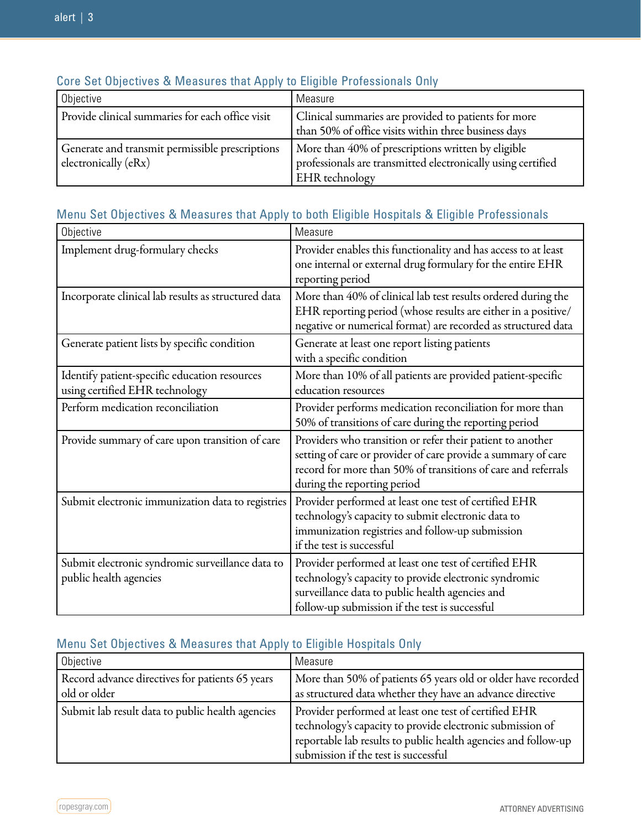| Objective                                                               | Measure                                                                                                                                     |
|-------------------------------------------------------------------------|---------------------------------------------------------------------------------------------------------------------------------------------|
| Provide clinical summaries for each office visit                        | Clinical summaries are provided to patients for more<br>than 50% of office visits within three business days                                |
| Generate and transmit permissible prescriptions<br>electronically (eRx) | More than 40% of prescriptions written by eligible<br>professionals are transmitted electronically using certified<br><b>EHR</b> technology |

### Core Set Objectives & Measures that Apply to Eligible Professionals Only

### Menu Set Objectives & Measures that Apply to both Eligible Hospitals & Eligible Professionals

| Objective                                                                       | Measure                                                                                                                                                                                                                     |
|---------------------------------------------------------------------------------|-----------------------------------------------------------------------------------------------------------------------------------------------------------------------------------------------------------------------------|
| Implement drug-formulary checks                                                 | Provider enables this functionality and has access to at least<br>one internal or external drug formulary for the entire EHR<br>reporting period                                                                            |
| Incorporate clinical lab results as structured data                             | More than 40% of clinical lab test results ordered during the<br>EHR reporting period (whose results are either in a positive/<br>negative or numerical format) are recorded as structured data                             |
| Generate patient lists by specific condition                                    | Generate at least one report listing patients<br>with a specific condition                                                                                                                                                  |
| Identify patient-specific education resources<br>using certified EHR technology | More than 10% of all patients are provided patient-specific<br>education resources                                                                                                                                          |
| Perform medication reconciliation                                               | Provider performs medication reconciliation for more than<br>50% of transitions of care during the reporting period                                                                                                         |
| Provide summary of care upon transition of care                                 | Providers who transition or refer their patient to another<br>setting of care or provider of care provide a summary of care<br>record for more than 50% of transitions of care and referrals<br>during the reporting period |
| Submit electronic immunization data to registries                               | Provider performed at least one test of certified EHR<br>technology's capacity to submit electronic data to<br>immunization registries and follow-up submission<br>if the test is successful                                |
| Submit electronic syndromic surveillance data to<br>public health agencies      | Provider performed at least one test of certified EHR<br>technology's capacity to provide electronic syndromic<br>surveillance data to public health agencies and<br>follow-up submission if the test is successful         |

## Menu Set Objectives & Measures that Apply to Eligible Hospitals Only

| Objective                                        | Measure                                                                                                                                                                                                                      |
|--------------------------------------------------|------------------------------------------------------------------------------------------------------------------------------------------------------------------------------------------------------------------------------|
| Record advance directives for patients 65 years  | More than 50% of patients 65 years old or older have recorded                                                                                                                                                                |
| old or older                                     | as structured data whether they have an advance directive                                                                                                                                                                    |
| Submit lab result data to public health agencies | Provider performed at least one test of certified EHR<br>technology's capacity to provide electronic submission of<br>reportable lab results to public health agencies and follow-up<br>submission if the test is successful |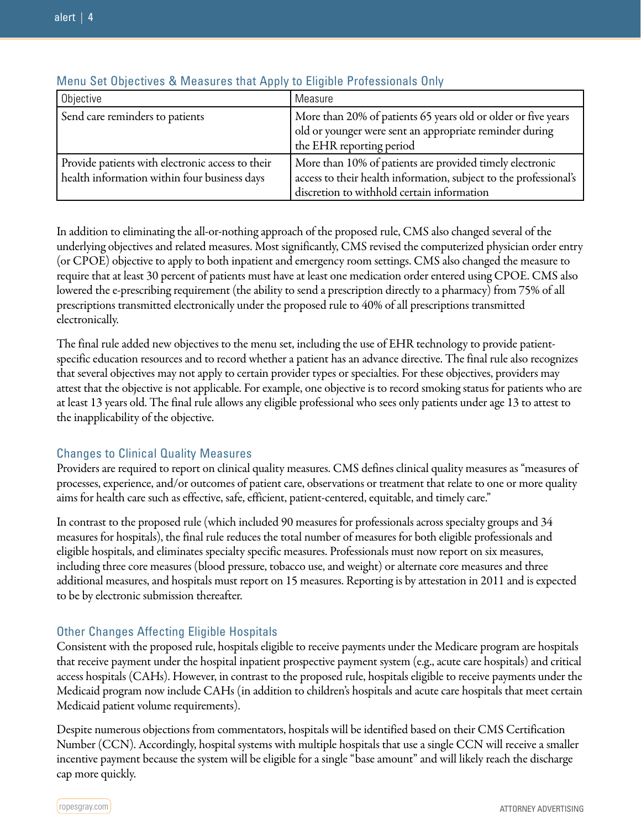| Objective                                                                                        | Measure                                                                                                                                                                     |
|--------------------------------------------------------------------------------------------------|-----------------------------------------------------------------------------------------------------------------------------------------------------------------------------|
| Send care reminders to patients                                                                  | More than 20% of patients 65 years old or older or five years<br>old or younger were sent an appropriate reminder during<br>the EHR reporting period                        |
| Provide patients with electronic access to their<br>health information within four business days | More than 10% of patients are provided timely electronic<br>access to their health information, subject to the professional's<br>discretion to withhold certain information |

#### Menu Set Objectives & Measures that Apply to Eligible Professionals Only

In addition to eliminating the all-or-nothing approach of the proposed rule, CMS also changed several of the underlying objectives and related measures. Most significantly, CMS revised the computerized physician order entry (or CPOE) objective to apply to both inpatient and emergency room settings. CMS also changed the measure to require that at least 30 percent of patients must have at least one medication order entered using CPOE. CMS also lowered the e-prescribing requirement (the ability to send a prescription directly to a pharmacy) from 75% of all prescriptions transmitted electronically under the proposed rule to 40% of all prescriptions transmitted electronically.

The final rule added new objectives to the menu set, including the use of EHR technology to provide patientspecific education resources and to record whether a patient has an advance directive. The final rule also recognizes that several objectives may not apply to certain provider types or specialties. For these objectives, providers may attest that the objective is not applicable. For example, one objective is to record smoking status for patients who are at least 13 years old. The final rule allows any eligible professional who sees only patients under age 13 to attest to the inapplicability of the objective.

#### Changes to Clinical Quality Measures

Providers are required to report on clinical quality measures. CMS defines clinical quality measures as "measures of processes, experience, and/or outcomes of patient care, observations or treatment that relate to one or more quality aims for health care such as effective, safe, efficient, patient-centered, equitable, and timely care."

In contrast to the proposed rule (which included 90 measures for professionals across specialty groups and 34 measures for hospitals), the final rule reduces the total number of measures for both eligible professionals and eligible hospitals, and eliminates specialty specific measures. Professionals must now report on six measures, including three core measures (blood pressure, tobacco use, and weight) or alternate core measures and three additional measures, and hospitals must report on 15 measures. Reporting is by attestation in 2011 and is expected to be by electronic submission thereafter.

#### Other Changes Affecting Eligible Hospitals

Consistent with the proposed rule, hospitals eligible to receive payments under the Medicare program are hospitals that receive payment under the hospital inpatient prospective payment system (e.g., acute care hospitals) and critical access hospitals (CAHs). However, in contrast to the proposed rule, hospitals eligible to receive payments under the Medicaid program now include CAHs (in addition to children's hospitals and acute care hospitals that meet certain Medicaid patient volume requirements).

Despite numerous objections from commentators, hospitals will be identified based on their CMS Certification Number (CCN). Accordingly, hospital systems with multiple hospitals that use a single CCN will receive a smaller incentive payment because the system will be eligible for a single "base amount" and will likely reach the discharge cap more quickly.